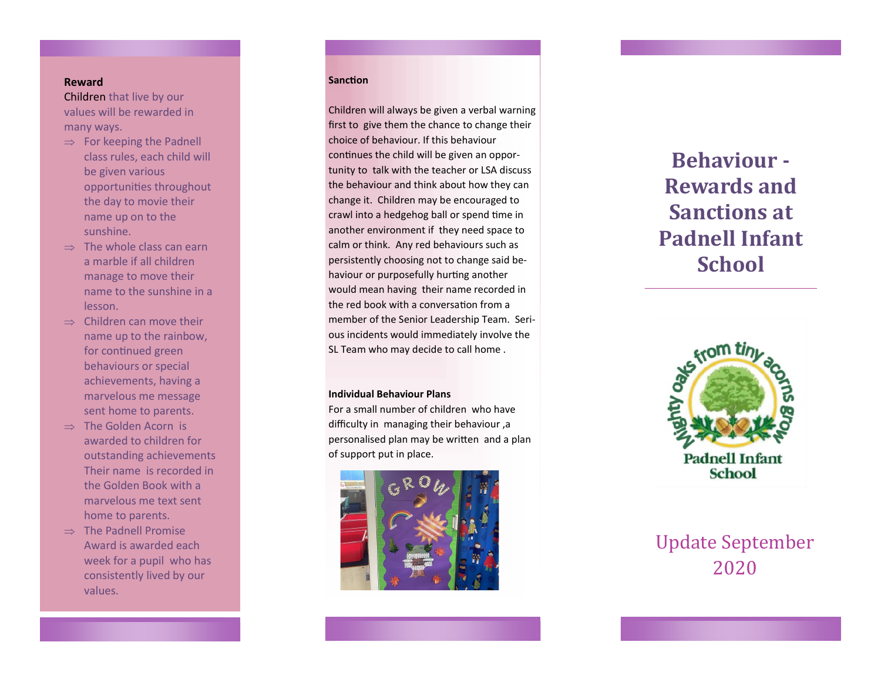### **Reward**

Children that live by our values will be rewarded in many ways.

- $\Rightarrow$  For keeping the Padnell class rules, each child will be given various opportunities throughout the day to movie their name up on to the sunshine.
- $\Rightarrow$  The whole class can earn a marble if all children manage to move their name to the sunshine in a lesson.
- $\Rightarrow$  Children can move their name up to the rainbow, for continued green behaviours or special achievements, having a marvelous me message sent home to parents.
- $\Rightarrow$  The Golden Acorn is awarded to children for outstanding achievements Their name is recorded in the Golden Book with a marvelous me text sent home to parents.
- $\Rightarrow$  The Padnell Promise Award is awarded each week for a pupil who has consistently lived by our values.

#### **Sanction**

Sa

Children will always be given a verbal warning first to give them the chance to change their choice of behaviour. If this behaviour continues the child will be given an opportunity to talk with the teacher or LSA discuss the behaviour and think about how they can change it. Children may be encouraged to crawl into a hedgehog ball or spend time in another environment if they need space to calm or think. Any red behaviours such as persistently choosing not to change said behaviour or purposefully hurting another would mean having their name recorded in the red book with a conversation from a member of the Senior Leadership Team. Serious incidents would immediately involve the SL Team who may decide to call home .

#### **Individual Behaviour Plans**

For a small number of children who have difficulty in managing their behaviour ,a personalised plan may be written and a plan of support put in place.



# **Behaviour - Rewards and Sanctions at Padnell Infant School**



| <b>Update September</b> |
|-------------------------|
| 2020                    |